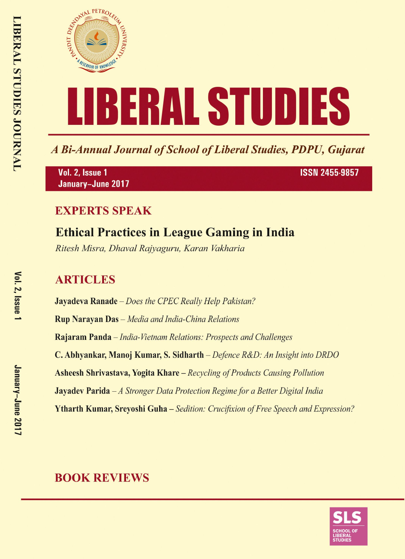

A Bi-Annual Journal of School of Liberal Studies, PDPU, Gujarat

Vol. 2, Issue 1 January-June 2017 **ISSN 2455-9857** 

# **EXPERTS SPEAK**

# **Ethical Practices in League Gaming in India**

Ritesh Misra, Dhaval Rajyaguru, Karan Vakharia

# **ARTICLES**

**Jayadeva Ranade** – Does the CPEC Really Help Pakistan? **Rup Narayan Das** - Media and India-China Relations Rajaram Panda - India-Vietnam Relations: Prospects and Challenges C. Abhyankar, Manoj Kumar, S. Sidharth – Defence R&D: An Insight into DRDO **Asheesh Shrivastava, Yogita Khare** – Recycling of Products Causing Pollution **Jayadev Parida**  $-A$  Stronger Data Protection Regime for a Better Digital India **Ytharth Kumar, Srevoshi Guha** – Sedition: Crucifixion of Free Speech and Expression?

# **BOOK REVIEWS**

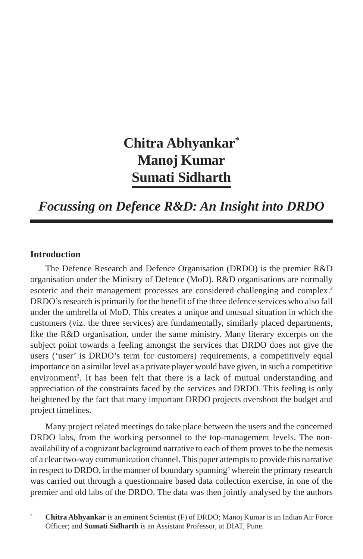# **Chitra Abhyankar\* Manoj Kumar Sumati Sidharth**

# *Focussing on Defence R&D: An Insight into DRDO*

# **Introduction**

The Defence Research and Defence Organisation (DRDO) is the premier R&D organisation under the Ministry of Defence (MoD). R&D organisations are normally esoteric and their management processes are considered challenging and complex.<sup>2</sup> DRDO's research is primarily for the benefit of the three defence services who also fall under the umbrella of MoD. This creates a unique and unusual situation in which the customers (viz. the three services) are fundamentally, similarly placed departments, like the R&D organisation, under the same ministry. Many literary excerpts on the subject point towards a feeling amongst the services that DRDO does not give the users ('user' is DRDO's term for customers) requirements, a competitively equal importance on a similar level as a private player would have given, in such a competitive environment<sup>3</sup>. It has been felt that there is a lack of mutual understanding and appreciation of the constraints faced by the services and DRDO. This feeling is only heightened by the fact that many important DRDO projects overshoot the budget and project timelines.

Many project related meetings do take place between the users and the concerned DRDO labs, from the working personnel to the top-management levels. The nonavailability of a cognizant background narrative to each of them proves to be the nemesis of a clear two-way communication channel. This paper attempts to provide this narrative in respect to DRDO, in the manner of boundary spanning<sup>4</sup> wherein the primary research was carried out through a questionnaire based data collection exercise, in one of the premier and old labs of the DRDO. The data was then jointly analysed by the authors

<sup>\*</sup> **Chitra Abhyankar** is an eminent Scientist (F) of DRDO; Manoj Kumar is an Indian Air Force Officer; and **Sumati Sidharth** is an Assistant Professor, at DIAT, Pune.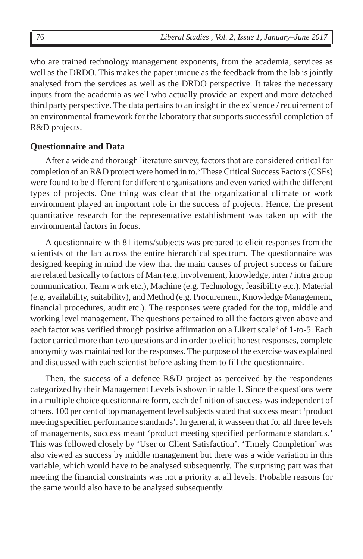who are trained technology management exponents, from the academia, services as well as the DRDO. This makes the paper unique as the feedback from the lab is jointly analysed from the services as well as the DRDO perspective. It takes the necessary inputs from the academia as well who actually provide an expert and more detached third party perspective. The data pertains to an insight in the existence / requirement of an environmental framework for the laboratory that supports successful completion of R&D projects.

## **Questionnaire and Data**

After a wide and thorough literature survey, factors that are considered critical for completion of an R&D project were homed in to.<sup>5</sup> These Critical Success Factors (CSFs) were found to be different for different organisations and even varied with the different types of projects. One thing was clear that the organizational climate or work environment played an important role in the success of projects. Hence, the present quantitative research for the representative establishment was taken up with the environmental factors in focus.

A questionnaire with 81 items/subjects was prepared to elicit responses from the scientists of the lab across the entire hierarchical spectrum. The questionnaire was designed keeping in mind the view that the main causes of project success or failure are related basically to factors of Man (e.g. involvement, knowledge, inter / intra group communication, Team work etc.), Machine (e.g. Technology, feasibility etc.), Material (e.g. availability, suitability), and Method (e.g. Procurement, Knowledge Management, financial procedures, audit etc.). The responses were graded for the top, middle and working level management. The questions pertained to all the factors given above and each factor was verified through positive affirmation on a Likert scale<sup>6</sup> of 1-to-5. Each factor carried more than two questions and in order to elicit honest responses, complete anonymity was maintained for the responses. The purpose of the exercise was explained and discussed with each scientist before asking them to fill the questionnaire.

Then, the success of a defence R&D project as perceived by the respondents categorized by their Management Levels is shown in table 1. Since the questions were in a multiple choice questionnaire form, each definition of success was independent of others. 100 per cent of top management level subjects stated that success meant 'product meeting specified performance standards'. In general, it wasseen that for all three levels of managements, success meant 'product meeting specified performance standards.' This was followed closely by 'User or Client Satisfaction'. 'Timely Completion' was also viewed as success by middle management but there was a wide variation in this variable, which would have to be analysed subsequently. The surprising part was that meeting the financial constraints was not a priority at all levels. Probable reasons for the same would also have to be analysed subsequently.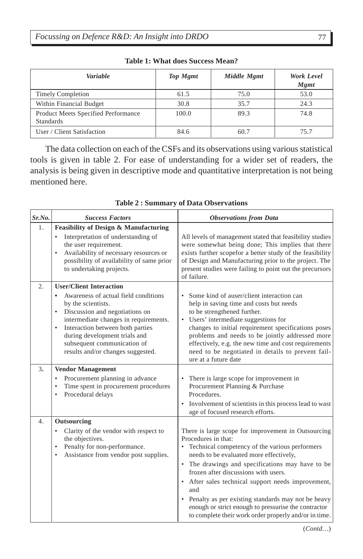| Variable                            | <b>Top Mgmt</b> | Middle Mgmt | Work Level<br><b>Mgmt</b> |
|-------------------------------------|-----------------|-------------|---------------------------|
| <b>Timely Completion</b>            | 61.5            | 75.0        | 53.0                      |
| Within Financial Budget             | 30.8            | 35.7        | 24.3                      |
| Product Meets Specified Performance | 100.0           | 89.3        | 74.8                      |
| <b>Standards</b>                    |                 |             |                           |
| User / Client Satisfaction          | 84.6            | 60.7        | 75.7                      |

**Table 1: What does Success Mean?**

The data collection on each of the CSFs and its observations using various statistical tools is given in table 2. For ease of understanding for a wider set of readers, the analysis is being given in descriptive mode and quantitative interpretation is not being mentioned here.

| Sr.No.           | <b>Success Factors</b>                                                                                                                                                                                                                                                                                                                                  | <b>Observations from Data</b>                                                                                                                                                                                                                                                                                                                                                                                                                                                                               |
|------------------|---------------------------------------------------------------------------------------------------------------------------------------------------------------------------------------------------------------------------------------------------------------------------------------------------------------------------------------------------------|-------------------------------------------------------------------------------------------------------------------------------------------------------------------------------------------------------------------------------------------------------------------------------------------------------------------------------------------------------------------------------------------------------------------------------------------------------------------------------------------------------------|
| 1.               | <b>Feasibility of Design &amp; Manufacturing</b><br>Interpretation of understanding of<br>$\bullet$<br>the user requirement.<br>Availability of necessary resources or<br>$\bullet$<br>possibility of availability of same prior<br>to undertaking projects.                                                                                            | All levels of management stated that feasibility studies<br>were somewhat being done; This implies that there<br>exists further scopefor a better study of the feasibility<br>of Design and Manufacturing prior to the project. The<br>present studies were failing to point out the precursors<br>of failure.                                                                                                                                                                                              |
| $\overline{2}$ . | <b>User/Client Interaction</b><br>Awareness of actual field conditions<br>$\bullet$<br>by the scientists.<br>Discussion and negotiations on<br>$\bullet$<br>intermediate changes in requirements.<br>Interaction between both parties<br>$\bullet$<br>during development trials and<br>subsequent communication of<br>results and/or changes suggested. | Some kind of auser/client interaction can<br>$\bullet$<br>help in saving time and costs but needs<br>to be strengthened further.<br>• Users' intermediate suggestions for<br>changes to initial requirement specifications poses<br>problems and needs to be jointly addressed more<br>effectively, e.g. the new time and cost requirements<br>need to be negotiated in details to prevent fail-<br>ure at a future date                                                                                    |
| 3.               | <b>Vendor Management</b><br>Procurement planning in advance<br>$\bullet$<br>Time spent in procurement procedures<br>$\bullet$<br>Procedural delays                                                                                                                                                                                                      | There is large scope for improvement in<br>$\bullet$<br>Procurement Planning & Purchase<br>Procedures.<br>• Involvement of scientists in this process lead to wast<br>age of focused research efforts.                                                                                                                                                                                                                                                                                                      |
| 4.               | Outsourcing<br>Clarity of the vendor with respect to<br>$\bullet$<br>the objectives.<br>Penalty for non-performance.<br>$\bullet$<br>Assistance from vendor post supplies.<br>$\bullet$                                                                                                                                                                 | There is large scope for improvement in Outsourcing<br>Procedures in that:<br>• Technical competency of the various performers<br>needs to be evaluated more effectively,<br>• The drawings and specifications may have to be<br>frozen after discussions with users.<br>• After sales technical support needs improvement,<br>and<br>• Penalty as per existing standards may not be heavy<br>enough or strict enough to pressurise the contractor<br>to complete their work order properly and/or in time. |

**Table 2 : Summary of Data Observations**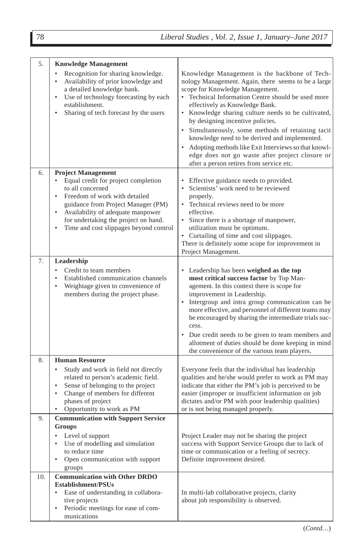| 5.  | <b>Knowledge Management</b><br>Recognition for sharing knowledge.<br>$\bullet$<br>Availability of prior knowledge and<br>٠<br>a detailed knowledge bank.<br>Use of technology forecasting by each<br>$\bullet$<br>establishment.<br>Sharing of tech forecast by the users<br>٠                                         | Knowledge Management is the backbone of Tech-<br>nology Management. Again, there seems to be a large<br>scope for Knowledge Management.<br>• Technical Information Centre should be used more<br>effectively as Knowledge Bank.<br>• Knowledge sharing culture needs to be cultivated,<br>by designing incentive policies.<br>• Simultaneously, some methods of retaining tacit<br>knowledge need to be derived and implemented.<br>• Adopting methods like Exit Interviews so that knowl-<br>edge does not go waste after project closure or<br>after a person retires from service etc. |
|-----|------------------------------------------------------------------------------------------------------------------------------------------------------------------------------------------------------------------------------------------------------------------------------------------------------------------------|-------------------------------------------------------------------------------------------------------------------------------------------------------------------------------------------------------------------------------------------------------------------------------------------------------------------------------------------------------------------------------------------------------------------------------------------------------------------------------------------------------------------------------------------------------------------------------------------|
| 6.  | <b>Project Management</b><br>Equal credit for project completion<br>$\bullet$<br>to all concerned<br>Freedom of work with detailed<br>٠<br>guidance from Project Manager (PM)<br>Availability of adequate manpower<br>$\bullet$<br>for undertaking the project on hand.<br>Time and cost slippages beyond control<br>٠ | Effective guidance needs to provided.<br>$\bullet$<br>• Scientists' work need to be reviewed<br>properly.<br>• Technical reviews need to be more<br>effective.<br>• Since there is a shortage of manpower,<br>utilization must be optimum.<br>• Curtailing of time and cost slippages.<br>There is definitely some scope for improvement in<br>Project Management.                                                                                                                                                                                                                        |
| 7.  | Leadership<br>Credit to team members<br>$\bullet$<br>Established communication channels<br>Weightage given to convenience of<br>$\bullet$<br>members during the project phase.                                                                                                                                         | • Leadership has been weighed as the top<br>most critical success factor by Top Man-<br>agement. In this context there is scope for<br>improvement in Leadership.<br>• Intergroup and intra group communication can be<br>more effective, and personnel of different teams may<br>be encouraged by sharing the intermediate trials suc-<br>cess.<br>• Due credit needs to be given to team members and<br>allotment of duties should be done keeping in mind<br>the convenience of the various team players.                                                                              |
| 8.  | <b>Human Resource</b><br>Study and work in field not directly<br>٠<br>related to person's academic field.<br>Sense of belonging to the project<br>$\bullet$<br>Change of members for different<br>٠<br>phases of project<br>Opportunity to work as PM                                                                  | Everyone feels that the individual has leadership<br>qualities and he/she would prefer to work as PM may<br>indicate that either the PM's job is perceived to be<br>easier (improper or insufficient information on job<br>dictates and/or PM with poor leadership qualities)<br>or is not being managed properly.                                                                                                                                                                                                                                                                        |
| 9.  | <b>Communication with Support Service</b><br><b>Groups</b><br>Level of support<br>٠<br>Use of modelling and simulation<br>$\bullet$<br>to reduce time<br>Open communication with support<br>$\bullet$<br>groups                                                                                                        | Project Leader may not be sharing the project<br>success with Support Service Groups due to lack of<br>time or communication or a feeling of secrecy.<br>Definite improvement desired.                                                                                                                                                                                                                                                                                                                                                                                                    |
| 10. | <b>Communication with Other DRDO</b><br><b>Establishment/PSUs</b><br>Ease of understanding in collabora-<br>٠<br>tive projects<br>Periodic meetings for ease of com-<br>$\bullet$<br>munications                                                                                                                       | In multi-lab collaborative projects, clarity<br>about job responsibility is observed.                                                                                                                                                                                                                                                                                                                                                                                                                                                                                                     |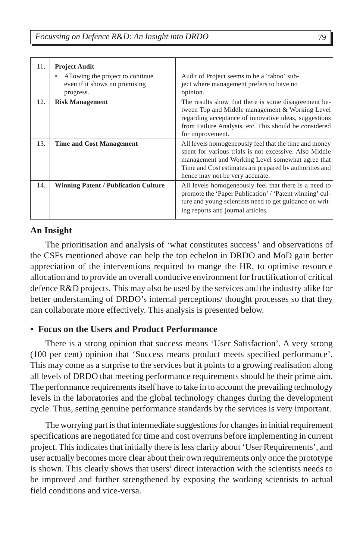| 11. | <b>Project Audit</b><br>Allowing the project to continue.<br>٠<br>even if it shows no promising<br>progress. | Audit of Project seems to be a 'taboo' sub-<br>ject where management prefers to have no<br>opinion.                                                                                                                                                               |
|-----|--------------------------------------------------------------------------------------------------------------|-------------------------------------------------------------------------------------------------------------------------------------------------------------------------------------------------------------------------------------------------------------------|
| 12. | <b>Risk Management</b>                                                                                       | The results show that there is some disagreement be-<br>tween Top and Middle management & Working Level<br>regarding acceptance of innovative ideas, suggestions<br>from Failure Analysis, etc. This should be considered<br>for improvement.                     |
| 13. | <b>Time and Cost Management</b>                                                                              | All levels homogeneously feel that the time and money<br>spent for various trials is not excessive. Also Middle<br>management and Working Level somewhat agree that<br>Time and Cost estimates are prepared by authorities and<br>hence may not be very accurate. |
| 14. | <b>Winning Patent / Publication Culture</b>                                                                  | All levels homogeneously feel that there is a need to<br>promote the 'Paper Publication' / 'Patent winning' cul-<br>ture and young scientists need to get guidance on writ-<br>ing reports and journal articles.                                                  |

# **An Insight**

The prioritisation and analysis of 'what constitutes success' and observations of the CSFs mentioned above can help the top echelon in DRDO and MoD gain better appreciation of the interventions required to mange the HR, to optimise resource allocation and to provide an overall conducive environment for fructification of critical defence R&D projects. This may also be used by the services and the industry alike for better understanding of DRDO's internal perceptions/ thought processes so that they can collaborate more effectively. This analysis is presented below.

# **• Focus on the Users and Product Performance**

There is a strong opinion that success means 'User Satisfaction'. A very strong (100 per cent) opinion that 'Success means product meets specified performance'. This may come as a surprise to the services but it points to a growing realisation along all levels of DRDO that meeting performance requirements should be their prime aim. The performance requirements itself have to take in to account the prevailing technology levels in the laboratories and the global technology changes during the development cycle. Thus, setting genuine performance standards by the services is very important.

The worrying part is that intermediate suggestions for changes in initial requirement specifications are negotiated for time and cost overruns before implementing in current project. This indicates that initially there is less clarity about 'User Requirements', and user actually becomes more clear about their own requirements only once the prototype is shown. This clearly shows that users' direct interaction with the scientists needs to be improved and further strengthened by exposing the working scientists to actual field conditions and vice-versa.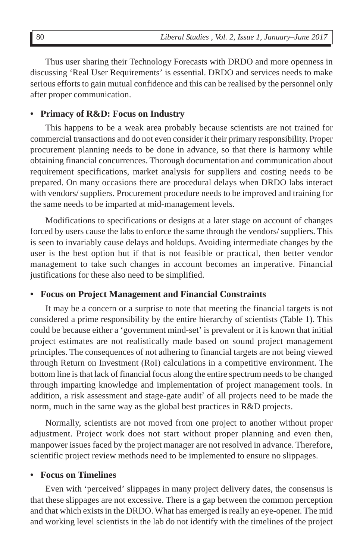Thus user sharing their Technology Forecasts with DRDO and more openness in discussing 'Real User Requirements' is essential. DRDO and services needs to make serious efforts to gain mutual confidence and this can be realised by the personnel only after proper communication.

## **• Primacy of R&D: Focus on Industry**

This happens to be a weak area probably because scientists are not trained for commercial transactions and do not even consider it their primary responsibility. Proper procurement planning needs to be done in advance, so that there is harmony while obtaining financial concurrences. Thorough documentation and communication about requirement specifications, market analysis for suppliers and costing needs to be prepared. On many occasions there are procedural delays when DRDO labs interact with vendors/ suppliers. Procurement procedure needs to be improved and training for the same needs to be imparted at mid-management levels.

Modifications to specifications or designs at a later stage on account of changes forced by users cause the labs to enforce the same through the vendors/ suppliers. This is seen to invariably cause delays and holdups. Avoiding intermediate changes by the user is the best option but if that is not feasible or practical, then better vendor management to take such changes in account becomes an imperative. Financial justifications for these also need to be simplified.

#### **• Focus on Project Management and Financial Constraints**

It may be a concern or a surprise to note that meeting the financial targets is not considered a prime responsibility by the entire hierarchy of scientists (Table 1). This could be because either a 'government mind-set' is prevalent or it is known that initial project estimates are not realistically made based on sound project management principles. The consequences of not adhering to financial targets are not being viewed through Return on Investment (RoI) calculations in a competitive environment. The bottom line is that lack of financial focus along the entire spectrum needs to be changed through imparting knowledge and implementation of project management tools. In addition, a risk assessment and stage-gate audit<sup>7</sup> of all projects need to be made the norm, much in the same way as the global best practices in R&D projects.

Normally, scientists are not moved from one project to another without proper adjustment. Project work does not start without proper planning and even then, manpower issues faced by the project manager are not resolved in advance. Therefore, scientific project review methods need to be implemented to ensure no slippages.

## **• Focus on Timelines**

Even with 'perceived' slippages in many project delivery dates, the consensus is that these slippages are not excessive. There is a gap between the common perception and that which exists in the DRDO. What has emerged is really an eye-opener. The mid and working level scientists in the lab do not identify with the timelines of the project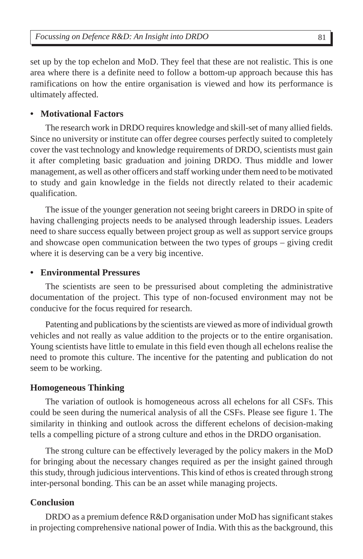set up by the top echelon and MoD. They feel that these are not realistic. This is one area where there is a definite need to follow a bottom-up approach because this has ramifications on how the entire organisation is viewed and how its performance is ultimately affected.

## **• Motivational Factors**

The research work in DRDO requires knowledge and skill-set of many allied fields. Since no university or institute can offer degree courses perfectly suited to completely cover the vast technology and knowledge requirements of DRDO, scientists must gain it after completing basic graduation and joining DRDO. Thus middle and lower management, as well as other officers and staff working under them need to be motivated to study and gain knowledge in the fields not directly related to their academic qualification.

The issue of the younger generation not seeing bright careers in DRDO in spite of having challenging projects needs to be analysed through leadership issues. Leaders need to share success equally between project group as well as support service groups and showcase open communication between the two types of groups – giving credit where it is deserving can be a very big incentive.

## **• Environmental Pressures**

The scientists are seen to be pressurised about completing the administrative documentation of the project. This type of non-focused environment may not be conducive for the focus required for research.

Patenting and publications by the scientists are viewed as more of individual growth vehicles and not really as value addition to the projects or to the entire organisation. Young scientists have little to emulate in this field even though all echelons realise the need to promote this culture. The incentive for the patenting and publication do not seem to be working.

## **Homogeneous Thinking**

The variation of outlook is homogeneous across all echelons for all CSFs. This could be seen during the numerical analysis of all the CSFs. Please see figure 1. The similarity in thinking and outlook across the different echelons of decision-making tells a compelling picture of a strong culture and ethos in the DRDO organisation.

The strong culture can be effectively leveraged by the policy makers in the MoD for bringing about the necessary changes required as per the insight gained through this study, through judicious interventions. This kind of ethos is created through strong inter-personal bonding. This can be an asset while managing projects.

## **Conclusion**

DRDO as a premium defence R&D organisation under MoD has significant stakes in projecting comprehensive national power of India. With this as the background, this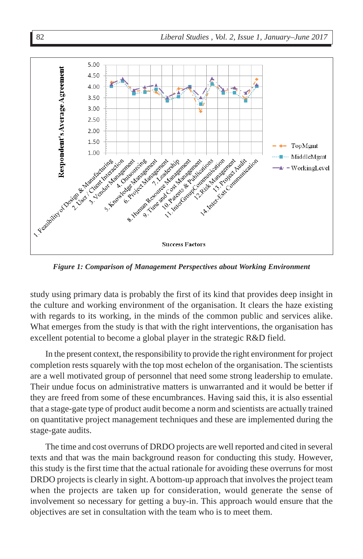

*Figure 1: Comparison of Management Perspectives about Working Environment*

study using primary data is probably the first of its kind that provides deep insight in the culture and working environment of the organisation. It clears the haze existing with regards to its working, in the minds of the common public and services alike. What emerges from the study is that with the right interventions, the organisation has excellent potential to become a global player in the strategic R&D field.

In the present context, the responsibility to provide the right environment for project completion rests squarely with the top most echelon of the organisation. The scientists are a well motivated group of personnel that need some strong leadership to emulate. Their undue focus on administrative matters is unwarranted and it would be better if they are freed from some of these encumbrances. Having said this, it is also essential that a stage-gate type of product audit become a norm and scientists are actually trained on quantitative project management techniques and these are implemented during the stage-gate audits.

The time and cost overruns of DRDO projects are well reported and cited in several texts and that was the main background reason for conducting this study. However, this study is the first time that the actual rationale for avoiding these overruns for most DRDO projects is clearly in sight. A bottom-up approach that involves the project team when the projects are taken up for consideration, would generate the sense of involvement so necessary for getting a buy-in. This approach would ensure that the objectives are set in consultation with the team who is to meet them.